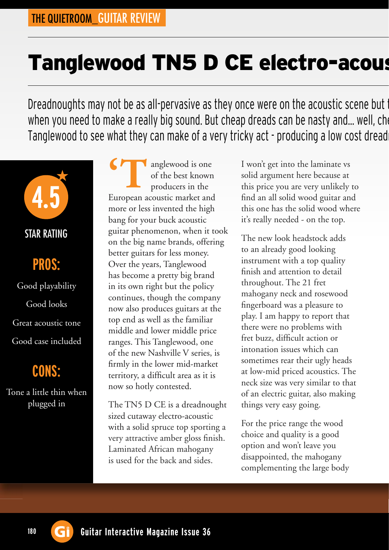## Tanglewood TN5 D CE electro-acous

Dreadnoughts may not be as all-pervasive as they once were on the acoustic scene but the when you need to make a really big sound. But cheap dreads can be nasty and... well, cheap. Tanglewood to see what they can make of a very tricky act - producing a low cost dread



## **PROS:** Good playability Good looks Great acoustic tone

#### Good case included

### **CONS:**

Tone a little thin when plugged in

anglewood is one of the best known producers in the **COMPOSE SERV**<br>
The best known<br>
producers in the<br>
European acoustic market and more or less invented the high bang for your buck acoustic guitar phenomenon, when it took on the big name brands, offering better guitars for less money. Over the years, Tanglewood has become a pretty big brand in its own right but the policy continues, though the company now also produces guitars at the top end as well as the familiar middle and lower middle price ranges. This Tanglewood, one of the new Nashville V series, is firmly in the lower mid-market territory, a difficult area as it is now so hotly contested.

The TN5 D CE is a dreadnought sized cutaway electro-acoustic with a solid spruce top sporting a very attractive amber gloss finish. Laminated African mahogany is used for the back and sides.

I won't get into the laminate vs solid argument here because at this price you are very unlikely to find an all solid wood guitar and this one has the solid wood where it's really needed - on the top.

The new look headstock adds to an already good looking instrument with a top quality finish and attention to detail throughout. The 21 fret mahogany neck and rosewood fingerboard was a pleasure to play. I am happy to report that there were no problems with fret buzz, difficult action or intonation issues which can sometimes rear their ugly heads at low-mid priced acoustics. The neck size was very similar to that of an electric guitar, also making things very easy going.

For the price range the wood choice and quality is a good option and won't leave you disappointed, the mahogany complementing the large body

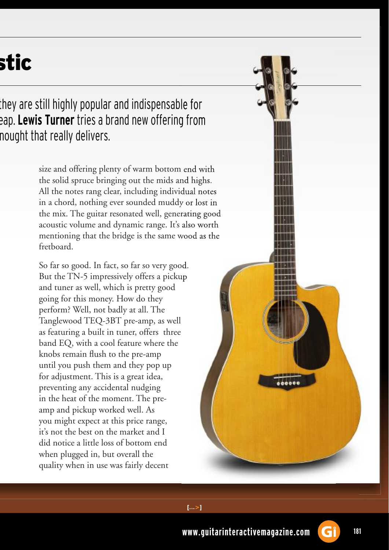# stic

they are still highly popular and indispensable for eap. Lewis Turner tries a brand new offering from nought that really delivers.

> size and offering plenty of warm bottom end with the solid spruce bringing out the mids and highs. All the notes rang clear, including individual notes in a chord, nothing ever sounded muddy or lost in the mix. The guitar resonated well, generating good acoustic volume and dynamic range. It's also worth mentioning that the bridge is the same wood as the fretboard.

So far so good. In fact, so far so very good. But the TN-5 impressively offers a pickup and tuner as well, which is pretty good going for this money. How do they perform? Well, not badly at all. The Tanglewood TEQ-3BT pre-amp, as well as featuring a built in tuner, offers three band EQ, with a cool feature where the knobs remain flush to the pre-amp until you push them and they pop up for adjustment. This is a great idea, preventing any accidental nudging in the heat of the moment. The preamp and pickup worked well. As you might expect at this price range, it's not the best on the market and I did notice a little loss of bottom end when plugged in, but overall the quality when in use was fairly decent



 $[...>]$ 

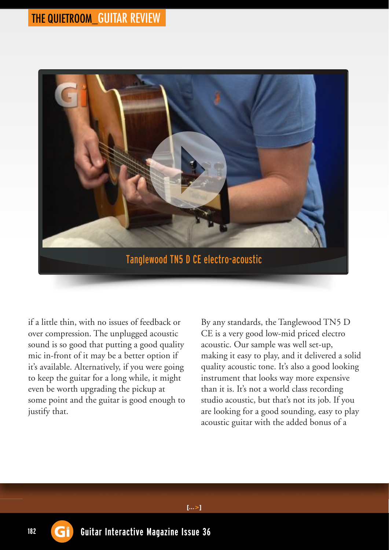### THE QUIETROOM\_GUITAR REVIEW



if a little thin, with no issues of feedback or over compression. The unplugged acoustic sound is so good that putting a good quality mic in-front of it may be a better option if it's available. Alternatively, if you were going to keep the guitar for a long while, it might even be worth upgrading the pickup at some point and the guitar is good enough to justify that.

By any standards, the Tanglewood TN5 D CE is a very good low-mid priced electro acoustic. Our sample was well set-up, making it easy to play, and it delivered a solid quality acoustic tone. It's also a good looking instrument that looks way more expensive than it is. It's not a world class recording studio acoustic, but that's not its job. If you are looking for a good sounding, easy to play acoustic guitar with the added bonus of a

 $[...>]$ 

182 **Gi** Guitar Interactive Magazine Issue 36